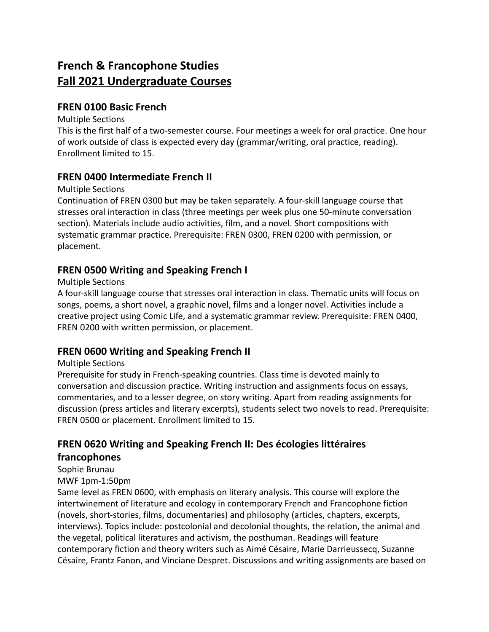# **French & Francophone Studies Fall 2021 Undergraduate Courses**

### **FREN 0100 Basic French**

#### Multiple Sections

This is the first half of a two-semester course. Four meetings a week for oral practice. One hour of work outside of class is expected every day (grammar/writing, oral practice, reading). Enrollment limited to 15.

### **FREN 0400 Intermediate French II**

#### Multiple Sections

Continuation of FREN 0300 but may be taken separately. A four-skill language course that stresses oral interaction in class (three meetings per week plus one 50-minute conversation section). Materials include audio activities, film, and a novel. Short compositions with systematic grammar practice. Prerequisite: FREN 0300, FREN 0200 with permission, or placement.

### **FREN 0500 Writing and Speaking French I**

#### Multiple Sections

A four-skill language course that stresses oral interaction in class. Thematic units will focus on songs, poems, a short novel, a graphic novel, films and a longer novel. Activities include a creative project using Comic Life, and a systematic grammar review. Prerequisite: FREN 0400, FREN 0200 with written permission, or placement.

### **FREN 0600 Writing and Speaking French II**

#### Multiple Sections

Prerequisite for study in French-speaking countries. Class time is devoted mainly to conversation and discussion practice. Writing instruction and assignments focus on essays, commentaries, and to a lesser degree, on story writing. Apart from reading assignments for discussion (press articles and literary excerpts), students select two novels to read. Prerequisite: FREN 0500 or placement. Enrollment limited to 15.

# **FREN 0620 Writing and Speaking French II: Des écologies littéraires francophones**

### Sophie Brunau

#### MWF 1pm-1:50pm

Same level as FREN 0600, with emphasis on literary analysis. This course will explore the intertwinement of literature and ecology in contemporary French and Francophone fiction (novels, short-stories, films, documentaries) and philosophy (articles, chapters, excerpts, interviews). Topics include: postcolonial and decolonial thoughts, the relation, the animal and the vegetal, political literatures and activism, the posthuman. Readings will feature contemporary fiction and theory writers such as Aimé Césaire, Marie Darrieussecq, Suzanne Césaire, Frantz Fanon, and Vinciane Despret. Discussions and writing assignments are based on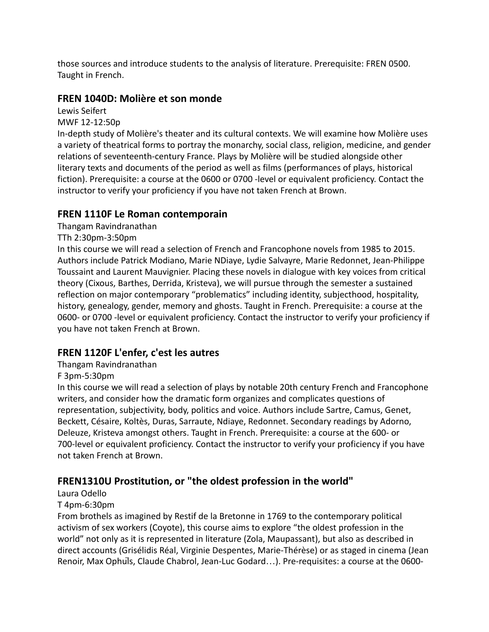those sources and introduce students to the analysis of literature. Prerequisite: FREN 0500. Taught in French.

# **FREN 1040D: Molière et son monde**

Lewis Seifert

MWF 12-12:50p

In-depth study of Molière's theater and its cultural contexts. We will examine how Molière uses a variety of theatrical forms to portray the monarchy, social class, religion, medicine, and gender relations of seventeenth-century France. Plays by Molière will be studied alongside other literary texts and documents of the period as well as films (performances of plays, historical fiction). Prerequisite: a course at the 0600 or 0700 -level or equivalent proficiency. Contact the instructor to verify your proficiency if you have not taken French at Brown.

# **FREN 1110F Le Roman contemporain**

Thangam Ravindranathan

### TTh 2:30pm-3:50pm

In this course we will read a selection of French and Francophone novels from 1985 to 2015. Authors include Patrick Modiano, Marie NDiaye, Lydie Salvayre, Marie Redonnet, Jean-Philippe Toussaint and Laurent Mauvignier. Placing these novels in dialogue with key voices from critical theory (Cixous, Barthes, Derrida, Kristeva), we will pursue through the semester a sustained reflection on major contemporary "problematics" including identity, subjecthood, hospitality, history, genealogy, gender, memory and ghosts. Taught in French. Prerequisite: a course at the 0600- or 0700 -level or equivalent proficiency. Contact the instructor to verify your proficiency if you have not taken French at Brown.

# **FREN 1120F L'enfer, c'est les autres**

Thangam Ravindranathan

F 3pm-5:30pm

In this course we will read a selection of plays by notable 20th century French and Francophone writers, and consider how the dramatic form organizes and complicates questions of representation, subjectivity, body, politics and voice. Authors include Sartre, Camus, Genet, Beckett, Césaire, Koltès, Duras, Sarraute, Ndiaye, Redonnet. Secondary readings by Adorno, Deleuze, Kristeva amongst others. Taught in French. Prerequisite: a course at the 600- or 700-level or equivalent proficiency. Contact the instructor to verify your proficiency if you have not taken French at Brown.

# **FREN1310U Prostitution, or "the oldest profession in the world"**

Laura Odello

#### T 4pm-6:30pm

From brothels as imagined by Restif de la Bretonne in 1769 to the contemporary political activism of sex workers (Coyote), this course aims to explore "the oldest profession in the world" not only as it is represented in literature (Zola, Maupassant), but also as described in direct accounts (Grisélidis Réal, Virginie Despentes, Marie-Thérèse) or as staged in cinema (Jean Renoir, Max Ophuls, Claude Chabrol, Jean-Luc Godard...). Pre-requisites: a course at the 0600